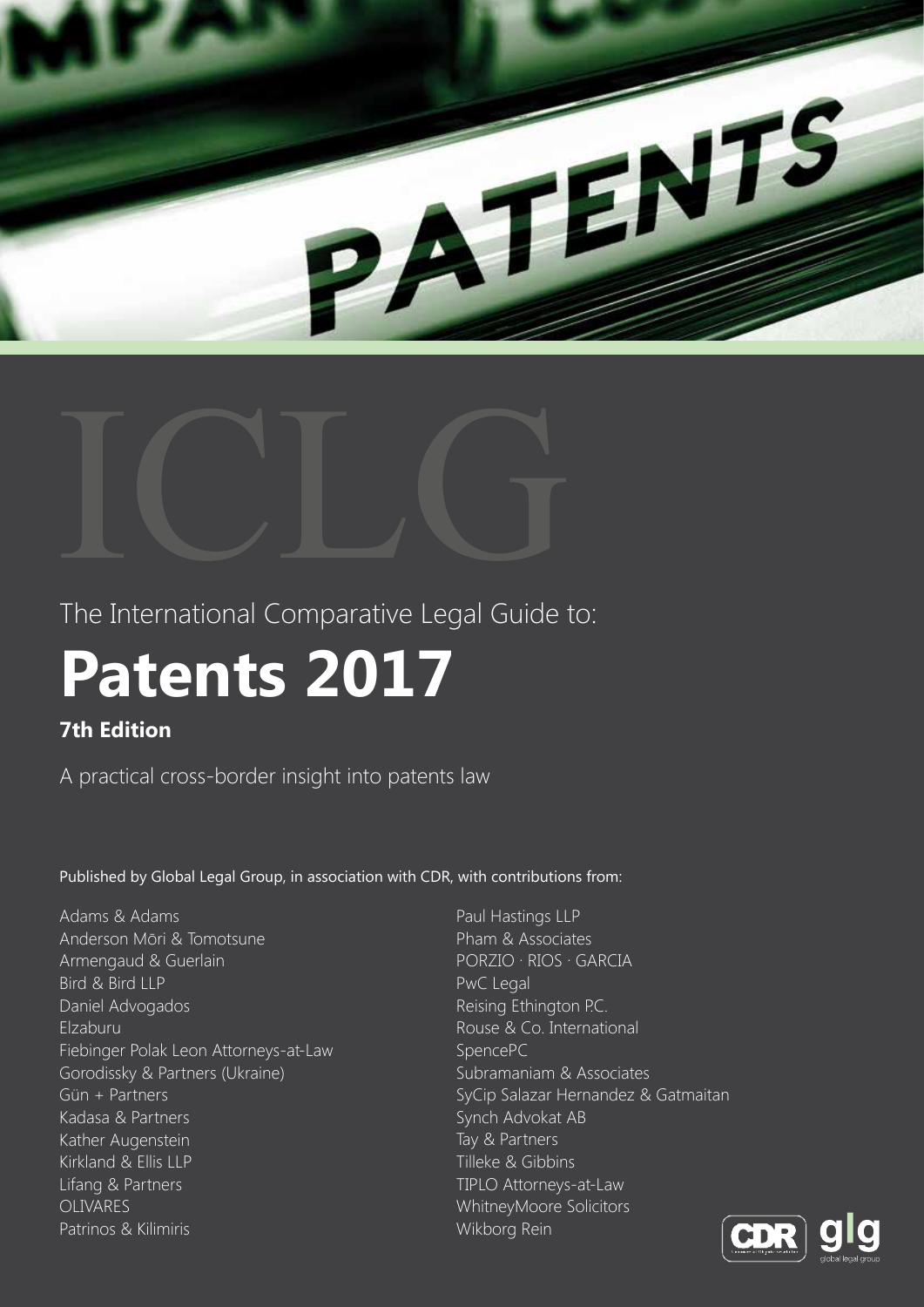



The International Comparative Legal Guide to:

# **Patents 2017**

# **7th Edition**

A practical cross-border insight into patents law

Published by Global Legal Group, in association with CDR, with contributions from:

Adams & Adams Anderson Mōri & Tomotsune Armengaud & Guerlain Bird & Bird LLP Daniel Advogados Elzaburu Fiebinger Polak Leon Attorneys-at-Law Gorodissky & Partners (Ukraine) Gün + Partners Kadasa & Partners Kather Augenstein Kirkland & Ellis LLP Lifang & Partners OLIVARES Patrinos & Kilimiris

Paul Hastings LLP Pham & Associates PORZIO ∙ RIOS ∙ GARCIA PwC Legal Reising Ethington P.C. Rouse & Co. International SpencePC Subramaniam & Associates SyCip Salazar Hernandez & Gatmaitan Synch Advokat AB Tay & Partners Tilleke & Gibbins TIPLO Attorneys-at-Law WhitneyMoore Solicitors Wikborg Rein

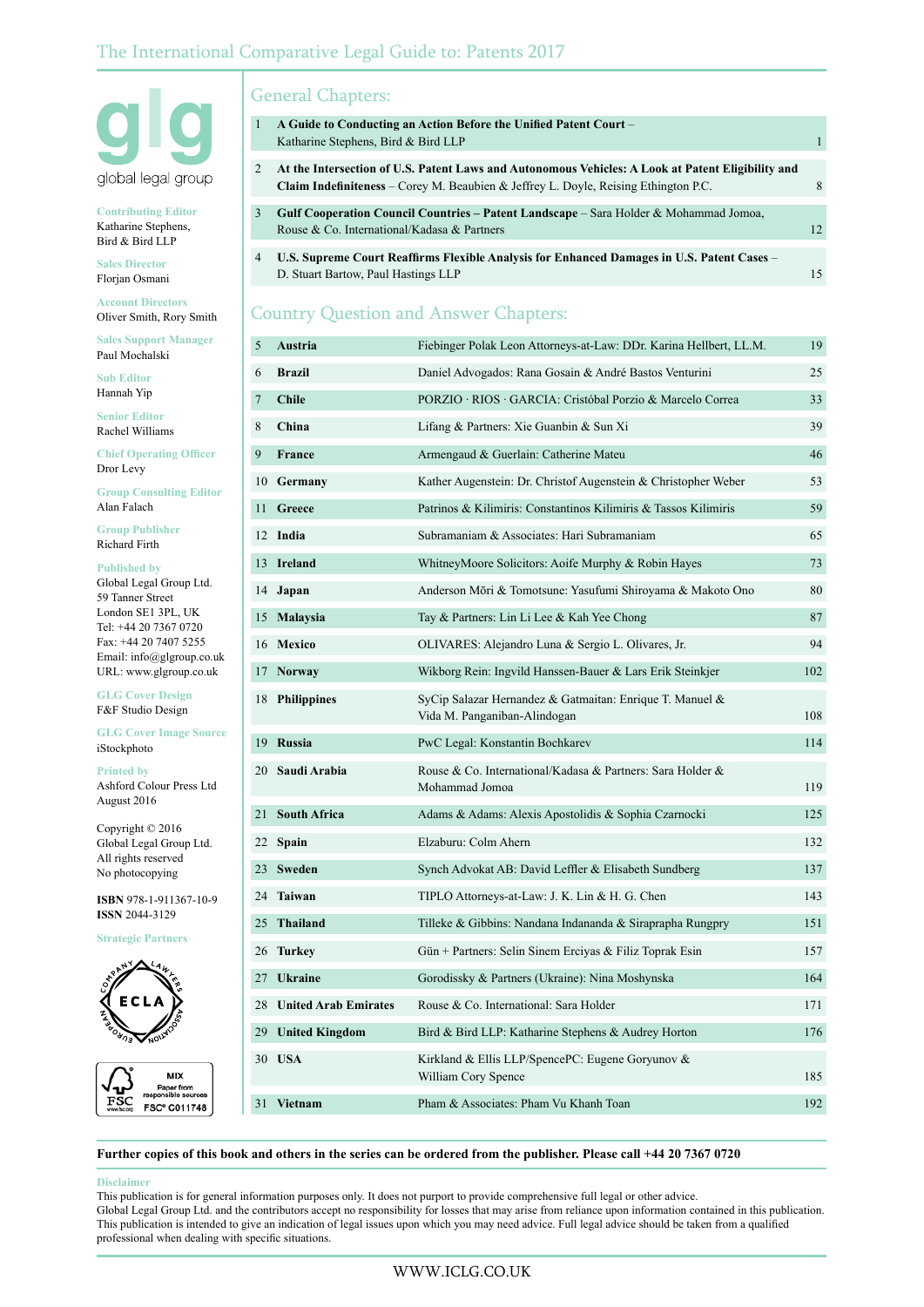

**Contributing Editor** Katharine Stephens, Bird & Bird LLP

**Sales Director** Florjan Osmani

**Account Directors** Oliver Smith, Rory Smith

**Sales Support Manager** Paul Mochalski

**Sub Editor** Hannah Yip

**Senior Editor** Rachel Williams

**Chief Operating Officer** Dror Levy

**Group Consulting Editor** Alan Falach

**Group Publisher** Richard Firth

**Published by** Global Legal Group Ltd. 59 Tanner Street London SE1 3PL, UK Tel: +44 20 7367 0720 Fax: +44 20 7407 5255 Email: info@glgroup.co.uk URL: www.glgroup.co.uk

**GLG Cover Design** F&F Studio Design

**GLG Cover Image Source** iStockphoto

**Printed by** Ashford Colour Press Ltd August 2016

Copyright © 2016 Global Legal Group Ltd. All rights reserved No photocopying

**ISBN** 978-1-911367-10-9 **ISSN** 2044-3129

**Strategic Partners**





# General Chapters:

| 1 | A Guide to Conducting an Action Before the Unified Patent Court –<br>Katharine Stephens, Bird & Bird LLP                                                                                        |    |
|---|-------------------------------------------------------------------------------------------------------------------------------------------------------------------------------------------------|----|
| 2 | At the Intersection of U.S. Patent Laws and Autonomous Vehicles: A Look at Patent Eligibility and<br><b>Claim Indefiniteness</b> – Corey M. Beaubien & Jeffrey L. Doyle, Reising Ethington P.C. | 8  |
| 3 | Gulf Cooperation Council Countries – Patent Landscape – Sara Holder & Mohammad Jomoa,<br>Rouse & Co. International/Kadasa & Partners                                                            | 12 |
| 4 | U.S. Supreme Court Reaffirms Flexible Analysis for Enhanced Damages in U.S. Patent Cases –<br>D. Stuart Bartow, Paul Hastings LLP                                                               | 15 |

# Country Question and Answer Chapters:

| 5  | Austria                     | Fiebinger Polak Leon Attorneys-at-Law: DDr. Karina Hellbert, LL.M.                       | 19  |
|----|-----------------------------|------------------------------------------------------------------------------------------|-----|
| 6  | <b>Brazil</b>               | Daniel Advogados: Rana Gosain & André Bastos Venturini                                   | 25  |
| 7  | <b>Chile</b>                | PORZIO · RIOS · GARCIA: Cristóbal Porzio & Marcelo Correa                                | 33  |
| 8  | China                       | Lifang & Partners: Xie Guanbin & Sun Xi                                                  | 39  |
| 9  | France                      | Armengaud & Guerlain: Catherine Mateu                                                    | 46  |
|    | 10 Germany                  | Kather Augenstein: Dr. Christof Augenstein & Christopher Weber                           | 53  |
| 11 | Greece                      | Patrinos & Kilimiris: Constantinos Kilimiris & Tassos Kilimiris                          | 59  |
|    | 12 India                    | Subramaniam & Associates: Hari Subramaniam                                               | 65  |
| 13 | <b>Ireland</b>              | WhitneyMoore Solicitors: Aoife Murphy & Robin Hayes                                      | 73  |
| 14 | Japan                       | Anderson Mōri & Tomotsune: Yasufumi Shiroyama & Makoto Ono                               | 80  |
| 15 | <b>Malaysia</b>             | Tay & Partners: Lin Li Lee & Kah Yee Chong                                               | 87  |
|    | 16 Mexico                   | OLIVARES: Alejandro Luna & Sergio L. Olivares, Jr.                                       | 94  |
| 17 | <b>Norway</b>               | Wikborg Rein: Ingvild Hanssen-Bauer & Lars Erik Steinkjer                                | 102 |
|    | 18 Philippines              | SyCip Salazar Hernandez & Gatmaitan: Enrique T. Manuel &<br>Vida M. Panganiban-Alindogan | 108 |
| 19 | Russia                      | PwC Legal: Konstantin Bochkarev                                                          | 114 |
| 20 | Saudi Arabia                | Rouse & Co. International/Kadasa & Partners: Sara Holder &<br>Mohammad Jomoa             | 119 |
| 21 | <b>South Africa</b>         | Adams & Adams: Alexis Apostolidis & Sophia Czarnocki                                     | 125 |
| 22 | <b>Spain</b>                | Elzaburu: Colm Ahern                                                                     | 132 |
| 23 | Sweden                      | Synch Advokat AB: David Leffler & Elisabeth Sundberg                                     | 137 |
| 24 | Taiwan                      | TIPLO Attorneys-at-Law: J. K. Lin & H. G. Chen                                           | 143 |
| 25 | Thailand                    | Tilleke & Gibbins: Nandana Indananda & Siraprapha Rungpry                                | 151 |
| 26 | <b>Turkey</b>               | Gün + Partners: Selin Sinem Erciyas & Filiz Toprak Esin                                  | 157 |
| 27 | <b>Ukraine</b>              | Gorodissky & Partners (Ukraine): Nina Moshynska                                          | 164 |
| 28 | <b>United Arab Emirates</b> | Rouse & Co. International: Sara Holder                                                   | 171 |
| 29 | <b>United Kingdom</b>       | Bird & Bird LLP: Katharine Stephens & Audrey Horton                                      | 176 |
|    | 30 USA                      | Kirkland & Ellis LLP/SpencePC: Eugene Goryunov &<br>William Cory Spence                  | 185 |
|    | 31 Vietnam                  | Pham & Associates: Pham Vu Khanh Toan                                                    | 192 |

# **Further copies of this book and others in the series can be ordered from the publisher. Please call +44 20 7367 0720**

# **Disclaimer**

This publication is for general information purposes only. It does not purport to provide comprehensive full legal or other advice. Global Legal Group Ltd. and the contributors accept no responsibility for losses that may arise from reliance upon information contained in this publication. This publication is intended to give an indication of legal issues upon which you may need advice. Full legal advice should be taken from a qualified professional when dealing with specific situations.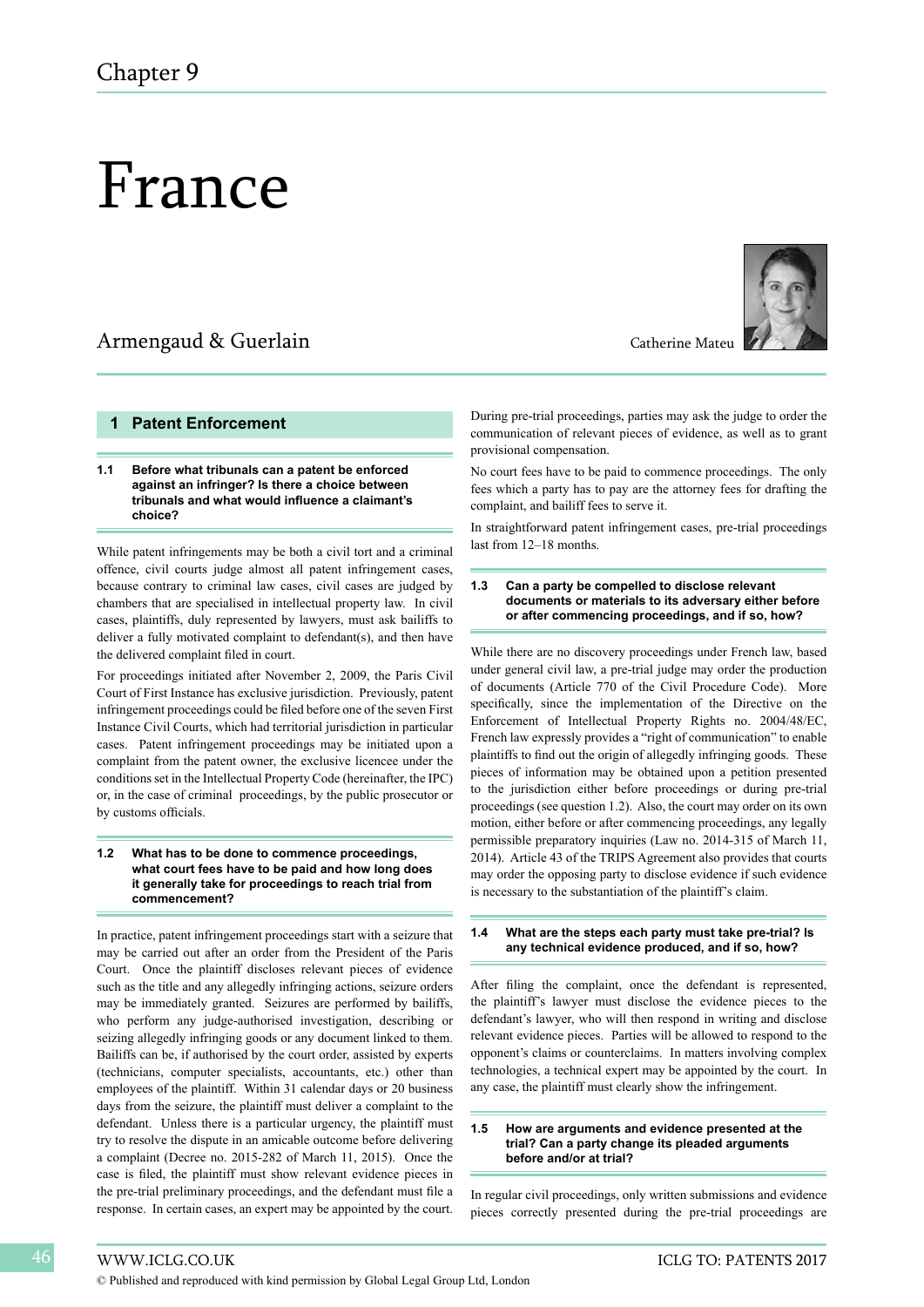# France

# Armengaud & Guerlain Catherine Mateu

# **1 Patent Enforcement**

# **1.1 Before what tribunals can a patent be enforced against an infringer? Is there a choice between tribunals and what would influence a claimant's choice?**

While patent infringements may be both a civil tort and a criminal offence, civil courts judge almost all patent infringement cases, because contrary to criminal law cases, civil cases are judged by chambers that are specialised in intellectual property law. In civil cases, plaintiffs, duly represented by lawyers, must ask bailiffs to deliver a fully motivated complaint to defendant(s), and then have the delivered complaint filed in court.

For proceedings initiated after November 2, 2009, the Paris Civil Court of First Instance has exclusive jurisdiction. Previously, patent infringement proceedings could be filed before one of the seven First Instance Civil Courts, which had territorial jurisdiction in particular cases. Patent infringement proceedings may be initiated upon a complaint from the patent owner, the exclusive licencee under the conditions set in the Intellectual Property Code (hereinafter, the IPC) or, in the case of criminal proceedings, by the public prosecutor or by customs officials.

# **1.2 What has to be done to commence proceedings, what court fees have to be paid and how long does it generally take for proceedings to reach trial from commencement?**

In practice, patent infringement proceedings start with a seizure that may be carried out after an order from the President of the Paris Court. Once the plaintiff discloses relevant pieces of evidence such as the title and any allegedly infringing actions, seizure orders may be immediately granted. Seizures are performed by bailiffs, who perform any judge-authorised investigation, describing or seizing allegedly infringing goods or any document linked to them. Bailiffs can be, if authorised by the court order, assisted by experts (technicians, computer specialists, accountants, etc.) other than employees of the plaintiff. Within 31 calendar days or 20 business days from the seizure, the plaintiff must deliver a complaint to the defendant. Unless there is a particular urgency, the plaintiff must try to resolve the dispute in an amicable outcome before delivering a complaint (Decree no. 2015-282 of March 11, 2015). Once the case is filed, the plaintiff must show relevant evidence pieces in the pre-trial preliminary proceedings, and the defendant must file a response. In certain cases, an expert may be appointed by the court.



During pre-trial proceedings, parties may ask the judge to order the communication of relevant pieces of evidence, as well as to grant provisional compensation.

No court fees have to be paid to commence proceedings. The only fees which a party has to pay are the attorney fees for drafting the complaint, and bailiff fees to serve it.

In straightforward patent infringement cases, pre-trial proceedings last from 12–18 months.

# **1.3 Can a party be compelled to disclose relevant documents or materials to its adversary either before or after commencing proceedings, and if so, how?**

While there are no discovery proceedings under French law, based under general civil law, a pre-trial judge may order the production of documents (Article 770 of the Civil Procedure Code). More specifically, since the implementation of the Directive on the Enforcement of Intellectual Property Rights no. 2004/48/EC, French law expressly provides a "right of communication" to enable plaintiffs to find out the origin of allegedly infringing goods. These pieces of information may be obtained upon a petition presented to the jurisdiction either before proceedings or during pre-trial proceedings (see question 1.2). Also, the court may order on its own motion, either before or after commencing proceedings, any legally permissible preparatory inquiries (Law no. 2014-315 of March 11, 2014). Article 43 of the TRIPS Agreement also provides that courts may order the opposing party to disclose evidence if such evidence is necessary to the substantiation of the plaintiff's claim.

# **1.4 What are the steps each party must take pre-trial? Is any technical evidence produced, and if so, how?**

After filing the complaint, once the defendant is represented, the plaintiff's lawyer must disclose the evidence pieces to the defendant's lawyer, who will then respond in writing and disclose relevant evidence pieces. Parties will be allowed to respond to the opponent's claims or counterclaims. In matters involving complex technologies, a technical expert may be appointed by the court. In any case, the plaintiff must clearly show the infringement.

# **1.5 How are arguments and evidence presented at the trial? Can a party change its pleaded arguments before and/or at trial?**

In regular civil proceedings, only written submissions and evidence pieces correctly presented during the pre-trial proceedings are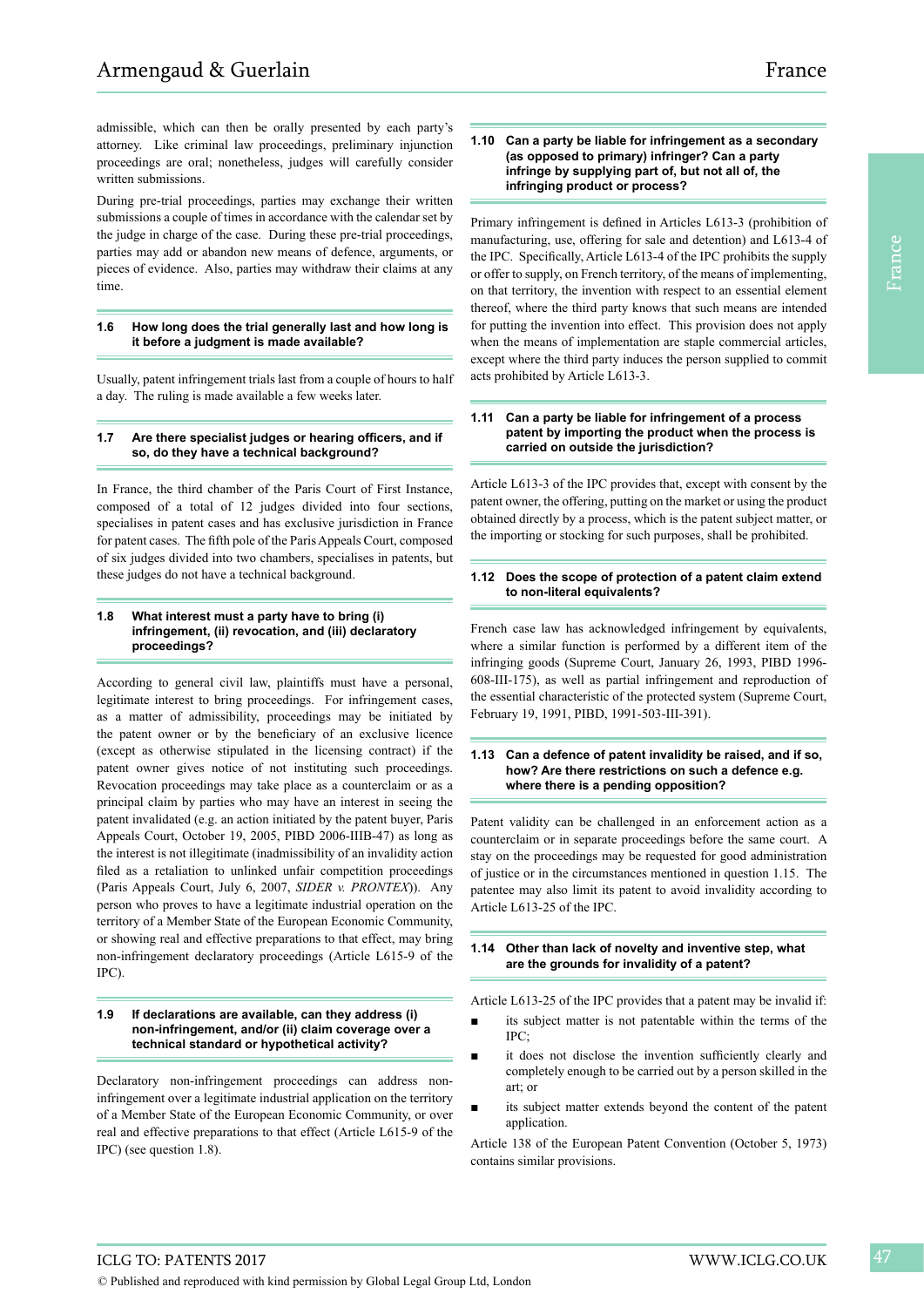During pre-trial proceedings, parties may exchange their written submissions a couple of times in accordance with the calendar set by the judge in charge of the case. During these pre-trial proceedings, parties may add or abandon new means of defence, arguments, or pieces of evidence. Also, parties may withdraw their claims at any time.

# **1.6 How long does the trial generally last and how long is it before a judgment is made available?**

Usually, patent infringement trials last from a couple of hours to half a day. The ruling is made available a few weeks later.

# **1.7 Are there specialist judges or hearing officers, and if so, do they have a technical background?**

In France, the third chamber of the Paris Court of First Instance, composed of a total of 12 judges divided into four sections, specialises in patent cases and has exclusive jurisdiction in France for patent cases. The fifth pole of the Paris Appeals Court, composed of six judges divided into two chambers, specialises in patents, but these judges do not have a technical background.

#### **1.8 What interest must a party have to bring (i) infringement, (ii) revocation, and (iii) declaratory proceedings?**

According to general civil law, plaintiffs must have a personal, legitimate interest to bring proceedings. For infringement cases, as a matter of admissibility, proceedings may be initiated by the patent owner or by the beneficiary of an exclusive licence (except as otherwise stipulated in the licensing contract) if the patent owner gives notice of not instituting such proceedings. Revocation proceedings may take place as a counterclaim or as a principal claim by parties who may have an interest in seeing the patent invalidated (e.g. an action initiated by the patent buyer, Paris Appeals Court, October 19, 2005, PIBD 2006-IIIB-47) as long as the interest is not illegitimate (inadmissibility of an invalidity action filed as a retaliation to unlinked unfair competition proceedings (Paris Appeals Court, July 6, 2007, *SIDER v. PRONTEX*)). Any person who proves to have a legitimate industrial operation on the territory of a Member State of the European Economic Community, or showing real and effective preparations to that effect, may bring non-infringement declaratory proceedings (Article L615-9 of the IPC).

# **1.9 If declarations are available, can they address (i) non-infringement, and/or (ii) claim coverage over a technical standard or hypothetical activity?**

Declaratory non-infringement proceedings can address noninfringement over a legitimate industrial application on the territory of a Member State of the European Economic Community, or over real and effective preparations to that effect (Article L615-9 of the IPC) (see question 1.8).

# **1.10 Can a party be liable for infringement as a secondary (as opposed to primary) infringer? Can a party infringe by supplying part of, but not all of, the infringing product or process?**

Primary infringement is defined in Articles L613-3 (prohibition of manufacturing, use, offering for sale and detention) and L613-4 of the IPC. Specifically, Article L613-4 of the IPC prohibits the supply or offer to supply, on French territory, of the means of implementing, on that territory, the invention with respect to an essential element thereof, where the third party knows that such means are intended for putting the invention into effect. This provision does not apply when the means of implementation are staple commercial articles, except where the third party induces the person supplied to commit acts prohibited by Article L613-3.

#### **1.11 Can a party be liable for infringement of a process patent by importing the product when the process is carried on outside the jurisdiction?**

Article L613-3 of the IPC provides that, except with consent by the patent owner, the offering, putting on the market or using the product obtained directly by a process, which is the patent subject matter, or the importing or stocking for such purposes, shall be prohibited.

# **1.12 Does the scope of protection of a patent claim extend to non-literal equivalents?**

French case law has acknowledged infringement by equivalents, where a similar function is performed by a different item of the infringing goods (Supreme Court, January 26, 1993, PIBD 1996- 608-III-175), as well as partial infringement and reproduction of the essential characteristic of the protected system (Supreme Court, February 19, 1991, PIBD, 1991-503-III-391).

# **1.13 Can a defence of patent invalidity be raised, and if so, how? Are there restrictions on such a defence e.g. where there is a pending opposition?**

Patent validity can be challenged in an enforcement action as a counterclaim or in separate proceedings before the same court. A stay on the proceedings may be requested for good administration of justice or in the circumstances mentioned in question 1.15. The patentee may also limit its patent to avoid invalidity according to Article L613-25 of the IPC.

# **1.14 Other than lack of novelty and inventive step, what are the grounds for invalidity of a patent?**

Article L613-25 of the IPC provides that a patent may be invalid if:

- its subject matter is not patentable within the terms of the IPC;
- it does not disclose the invention sufficiently clearly and completely enough to be carried out by a person skilled in the art; or
- its subject matter extends beyond the content of the patent application.

Article 138 of the European Patent Convention (October 5, 1973) contains similar provisions.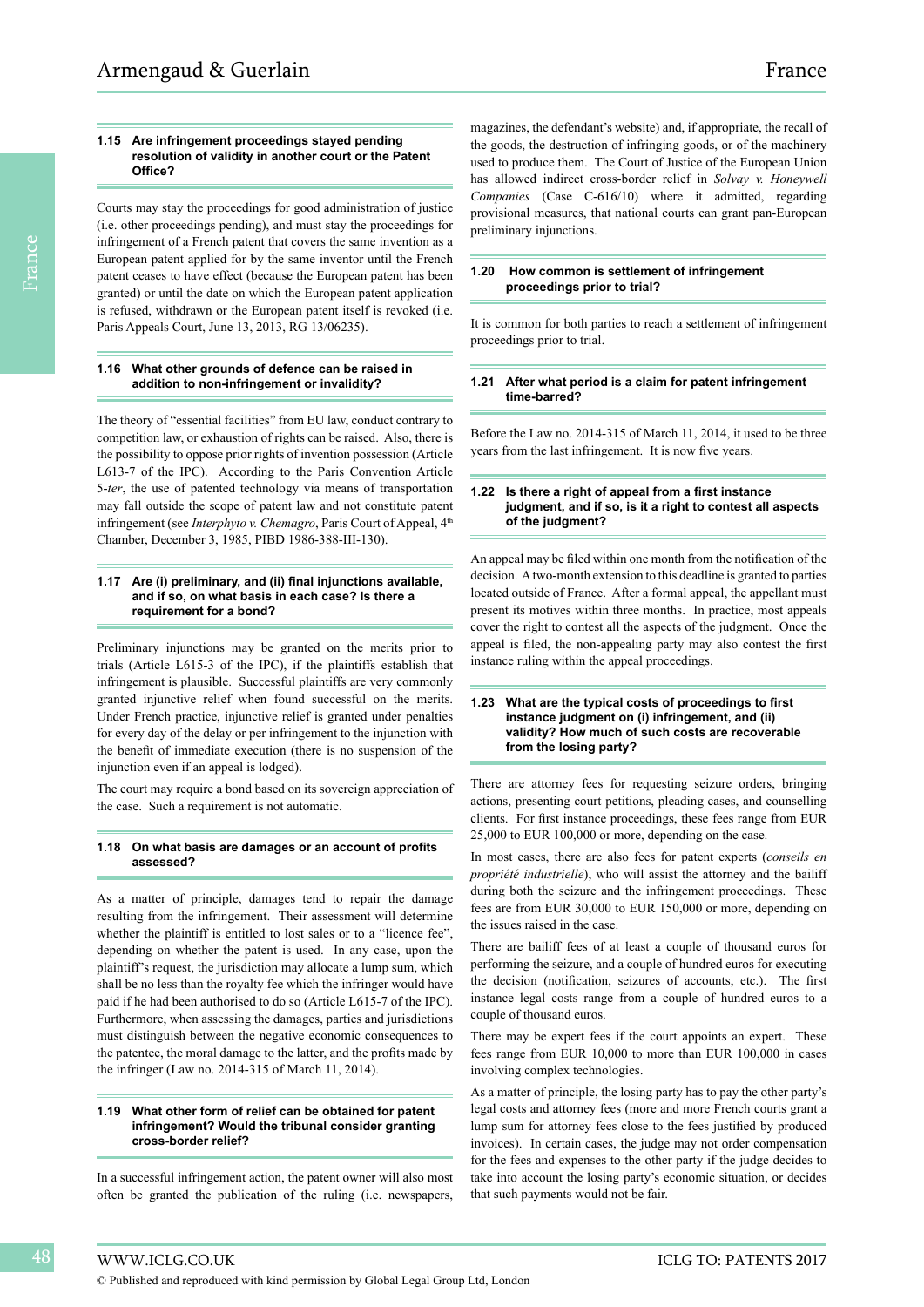#### **1.15 Are infringement proceedings stayed pending resolution of validity in another court or the Patent Office?**

Courts may stay the proceedings for good administration of justice (i.e. other proceedings pending), and must stay the proceedings for infringement of a French patent that covers the same invention as a European patent applied for by the same inventor until the French patent ceases to have effect (because the European patent has been granted) or until the date on which the European patent application is refused, withdrawn or the European patent itself is revoked (i.e. Paris Appeals Court, June 13, 2013, RG 13/06235).

# **1.16 What other grounds of defence can be raised in addition to non-infringement or invalidity?**

The theory of "essential facilities" from EU law, conduct contrary to competition law, or exhaustion of rights can be raised. Also, there is the possibility to oppose prior rights of invention possession (Article L613-7 of the IPC). According to the Paris Convention Article 5-*ter*, the use of patented technology via means of transportation may fall outside the scope of patent law and not constitute patent infringement (see *Interphyto v. Chemagro*, Paris Court of Appeal, 4<sup>th</sup> Chamber, December 3, 1985, PIBD 1986-388-III-130).

# **1.17 Are (i) preliminary, and (ii) final injunctions available, and if so, on what basis in each case? Is there a requirement for a bond?**

Preliminary injunctions may be granted on the merits prior to trials (Article L615-3 of the IPC), if the plaintiffs establish that infringement is plausible. Successful plaintiffs are very commonly granted injunctive relief when found successful on the merits. Under French practice, injunctive relief is granted under penalties for every day of the delay or per infringement to the injunction with the benefit of immediate execution (there is no suspension of the injunction even if an appeal is lodged).

The court may require a bond based on its sovereign appreciation of the case. Such a requirement is not automatic.

# **1.18 On what basis are damages or an account of profits assessed?**

As a matter of principle, damages tend to repair the damage resulting from the infringement. Their assessment will determine whether the plaintiff is entitled to lost sales or to a "licence fee", depending on whether the patent is used. In any case, upon the plaintiff's request, the jurisdiction may allocate a lump sum, which shall be no less than the royalty fee which the infringer would have paid if he had been authorised to do so (Article L615-7 of the IPC). Furthermore, when assessing the damages, parties and jurisdictions must distinguish between the negative economic consequences to the patentee, the moral damage to the latter, and the profits made by the infringer (Law no. 2014-315 of March 11, 2014).

#### **1.19 What other form of relief can be obtained for patent infringement? Would the tribunal consider granting cross-border relief?**

In a successful infringement action, the patent owner will also most often be granted the publication of the ruling (i.e. newspapers,

magazines, the defendant's website) and, if appropriate, the recall of the goods, the destruction of infringing goods, or of the machinery used to produce them. The Court of Justice of the European Union has allowed indirect cross-border relief in *Solvay v. Honeywell Companies* (Case C-616/10) where it admitted, regarding provisional measures, that national courts can grant pan-European preliminary injunctions.

# **1.20 How common is settlement of infringement proceedings prior to trial?**

It is common for both parties to reach a settlement of infringement proceedings prior to trial.

# **1.21 After what period is a claim for patent infringement time-barred?**

Before the Law no. 2014-315 of March 11, 2014, it used to be three years from the last infringement. It is now five years.

# **1.22 Is there a right of appeal from a first instance judgment, and if so, is it a right to contest all aspects of the judgment?**

An appeal may be filed within one month from the notification of the decision. A two-month extension to this deadline is granted to parties located outside of France. After a formal appeal, the appellant must present its motives within three months. In practice, most appeals cover the right to contest all the aspects of the judgment. Once the appeal is filed, the non-appealing party may also contest the first instance ruling within the appeal proceedings.

# **1.23 What are the typical costs of proceedings to first instance judgment on (i) infringement, and (ii) validity? How much of such costs are recoverable from the losing party?**

There are attorney fees for requesting seizure orders, bringing actions, presenting court petitions, pleading cases, and counselling clients. For first instance proceedings, these fees range from EUR 25,000 to EUR 100,000 or more, depending on the case.

In most cases, there are also fees for patent experts (*conseils en propriété industrielle*), who will assist the attorney and the bailiff during both the seizure and the infringement proceedings. These fees are from EUR 30,000 to EUR 150,000 or more, depending on the issues raised in the case.

There are bailiff fees of at least a couple of thousand euros for performing the seizure, and a couple of hundred euros for executing the decision (notification, seizures of accounts, etc.). The first instance legal costs range from a couple of hundred euros to a couple of thousand euros.

There may be expert fees if the court appoints an expert. These fees range from EUR 10,000 to more than EUR 100,000 in cases involving complex technologies.

As a matter of principle, the losing party has to pay the other party's legal costs and attorney fees (more and more French courts grant a lump sum for attorney fees close to the fees justified by produced invoices). In certain cases, the judge may not order compensation for the fees and expenses to the other party if the judge decides to take into account the losing party's economic situation, or decides that such payments would not be fair.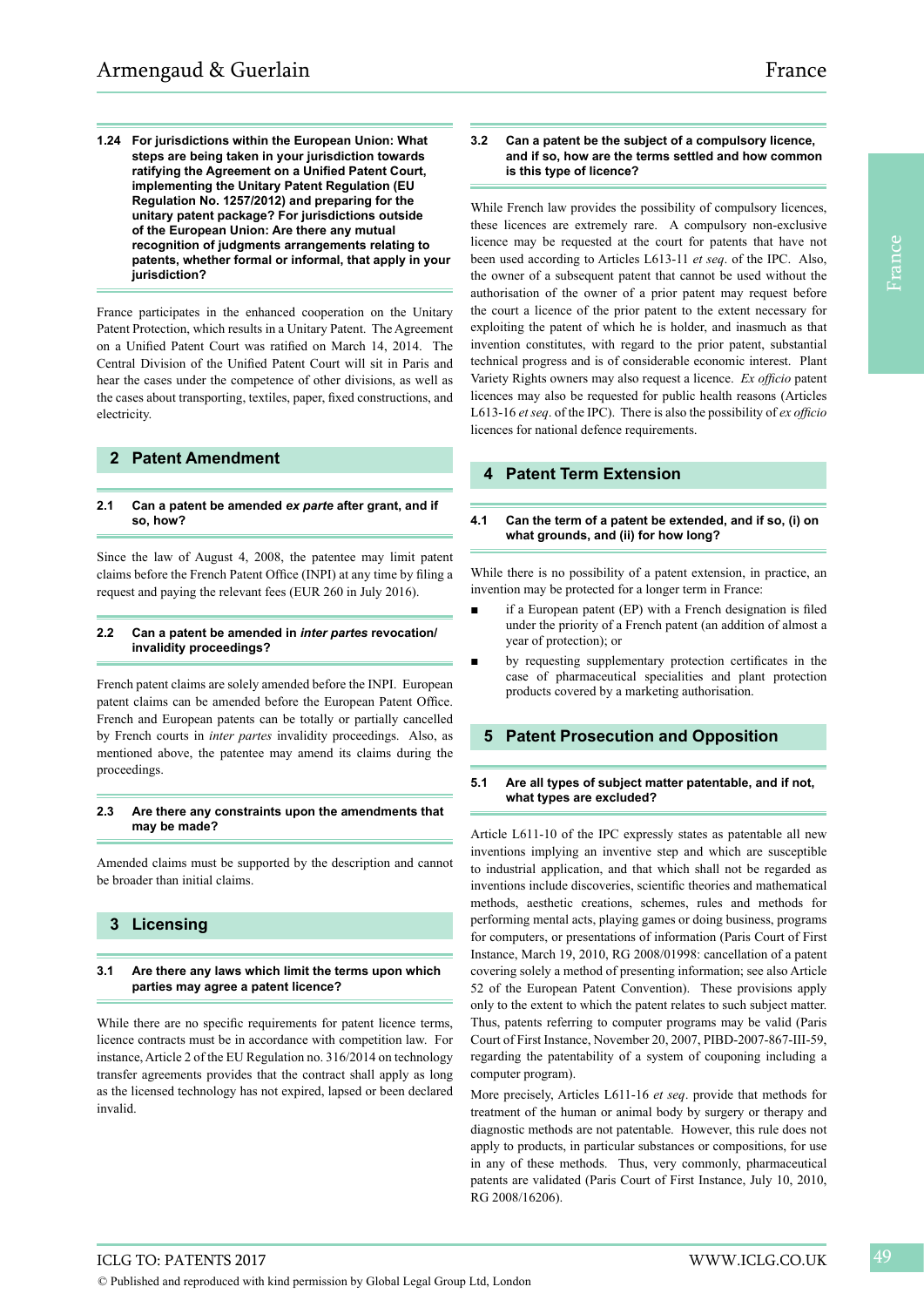**1.24 For jurisdictions within the European Union: What steps are being taken in your jurisdiction towards ratifying the Agreement on a Unified Patent Court, implementing the Unitary Patent Regulation (EU Regulation No. 1257/2012) and preparing for the unitary patent package? For jurisdictions outside of the European Union: Are there any mutual recognition of judgments arrangements relating to patents, whether formal or informal, that apply in your jurisdiction?**

France participates in the enhanced cooperation on the Unitary Patent Protection, which results in a Unitary Patent. The Agreement on a Unified Patent Court was ratified on March 14, 2014. The Central Division of the Unified Patent Court will sit in Paris and hear the cases under the competence of other divisions, as well as the cases about transporting, textiles, paper, fixed constructions, and electricity.

# **2 Patent Amendment**

# **2.1 Can a patent be amended** *ex parte* **after grant, and if so, how?**

Since the law of August 4, 2008, the patentee may limit patent claims before the French Patent Office (INPI) at any time by filing a request and paying the relevant fees (EUR 260 in July 2016).

# **2.2 Can a patent be amended in** *inter partes* **revocation/ invalidity proceedings?**

French patent claims are solely amended before the INPI. European patent claims can be amended before the European Patent Office. French and European patents can be totally or partially cancelled by French courts in *inter partes* invalidity proceedings. Also, as mentioned above, the patentee may amend its claims during the proceedings.

# **2.3 Are there any constraints upon the amendments that may be made?**

Amended claims must be supported by the description and cannot be broader than initial claims.

# **3 Licensing**

# **3.1 Are there any laws which limit the terms upon which parties may agree a patent licence?**

While there are no specific requirements for patent licence terms, licence contracts must be in accordance with competition law. For instance, Article 2 of the EU Regulation no. 316/2014 on technology transfer agreements provides that the contract shall apply as long as the licensed technology has not expired, lapsed or been declared invalid.

# **3.2 Can a patent be the subject of a compulsory licence, and if so, how are the terms settled and how common is this type of licence?**

While French law provides the possibility of compulsory licences, these licences are extremely rare. A compulsory non-exclusive licence may be requested at the court for patents that have not been used according to Articles L613-11 *et seq*. of the IPC. Also, the owner of a subsequent patent that cannot be used without the authorisation of the owner of a prior patent may request before the court a licence of the prior patent to the extent necessary for exploiting the patent of which he is holder, and inasmuch as that invention constitutes, with regard to the prior patent, substantial technical progress and is of considerable economic interest. Plant Variety Rights owners may also request a licence. *Ex officio* patent licences may also be requested for public health reasons (Articles L613-16 *et seq*. of the IPC). There is also the possibility of *ex officio*  licences for national defence requirements.

# **4 Patent Term Extension**

# **4.1 Can the term of a patent be extended, and if so, (i) on what grounds, and (ii) for how long?**

While there is no possibility of a patent extension, in practice, an invention may be protected for a longer term in France:

- if a European patent (EP) with a French designation is filed under the priority of a French patent (an addition of almost a year of protection); or
- by requesting supplementary protection certificates in the case of pharmaceutical specialities and plant protection products covered by a marketing authorisation.

# **5 Patent Prosecution and Opposition**

# **5.1 Are all types of subject matter patentable, and if not, what types are excluded?**

Article L611-10 of the IPC expressly states as patentable all new inventions implying an inventive step and which are susceptible to industrial application, and that which shall not be regarded as inventions include discoveries, scientific theories and mathematical methods, aesthetic creations, schemes, rules and methods for performing mental acts, playing games or doing business, programs for computers, or presentations of information (Paris Court of First Instance, March 19, 2010, RG 2008/01998: cancellation of a patent covering solely a method of presenting information; see also Article 52 of the European Patent Convention). These provisions apply only to the extent to which the patent relates to such subject matter. Thus, patents referring to computer programs may be valid (Paris Court of First Instance, November 20, 2007, PIBD-2007-867-III-59, regarding the patentability of a system of couponing including a computer program).

More precisely, Articles L611-16 *et seq*. provide that methods for treatment of the human or animal body by surgery or therapy and diagnostic methods are not patentable. However, this rule does not apply to products, in particular substances or compositions, for use in any of these methods. Thus, very commonly, pharmaceutical patents are validated (Paris Court of First Instance, July 10, 2010, RG 2008/16206).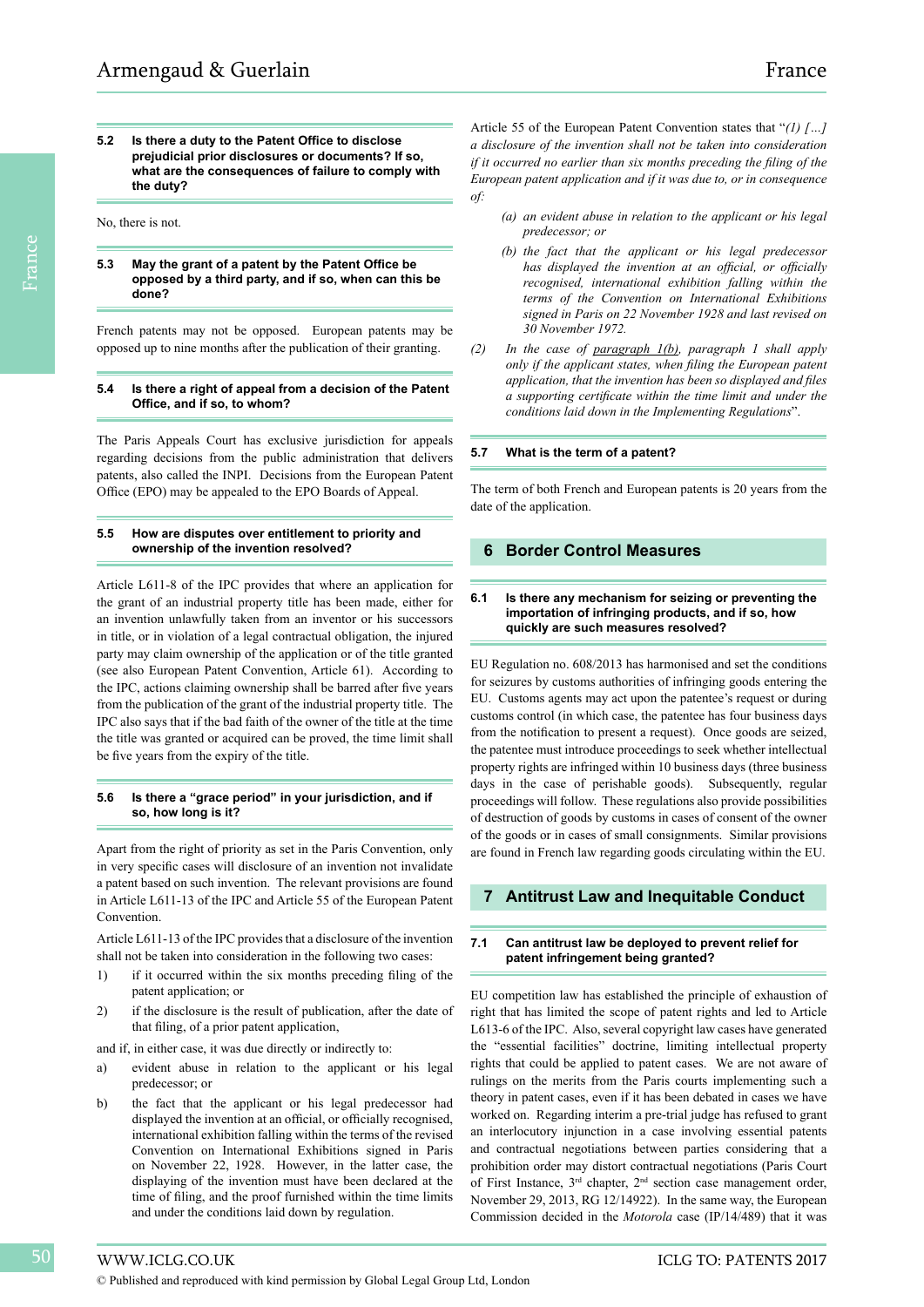**5.2 Is there a duty to the Patent Office to disclose prejudicial prior disclosures or documents? If so, what are the consequences of failure to comply with the duty?**

No, there is not.

# **5.3 May the grant of a patent by the Patent Office be opposed by a third party, and if so, when can this be done?**

French patents may not be opposed. European patents may be opposed up to nine months after the publication of their granting.

# **5.4 Is there a right of appeal from a decision of the Patent Office, and if so, to whom?**

The Paris Appeals Court has exclusive jurisdiction for appeals regarding decisions from the public administration that delivers patents, also called the INPI. Decisions from the European Patent Office (EPO) may be appealed to the EPO Boards of Appeal.

# **5.5 How are disputes over entitlement to priority and ownership of the invention resolved?**

Article L611-8 of the IPC provides that where an application for the grant of an industrial property title has been made, either for an invention unlawfully taken from an inventor or his successors in title, or in violation of a legal contractual obligation, the injured party may claim ownership of the application or of the title granted (see also European Patent Convention, Article 61). According to the IPC, actions claiming ownership shall be barred after five years from the publication of the grant of the industrial property title. The IPC also says that if the bad faith of the owner of the title at the time the title was granted or acquired can be proved, the time limit shall be five years from the expiry of the title.

# **5.6 Is there a "grace period" in your jurisdiction, and if so, how long is it?**

Apart from the right of priority as set in the Paris Convention, only in very specific cases will disclosure of an invention not invalidate a patent based on such invention. The relevant provisions are found in Article L611-13 of the IPC and Article 55 of the European Patent Convention.

Article L611-13 of the IPC provides that a disclosure of the invention shall not be taken into consideration in the following two cases:

- 1) if it occurred within the six months preceding filing of the patent application; or
- 2) if the disclosure is the result of publication, after the date of that filing, of a prior patent application,

and if, in either case, it was due directly or indirectly to:

- a) evident abuse in relation to the applicant or his legal predecessor; or
- b) the fact that the applicant or his legal predecessor had displayed the invention at an official, or officially recognised, international exhibition falling within the terms of the revised Convention on International Exhibitions signed in Paris on November 22, 1928. However, in the latter case, the displaying of the invention must have been declared at the time of filing, and the proof furnished within the time limits and under the conditions laid down by regulation.

Article 55 of the European Patent Convention states that "*(1) […] a disclosure of the invention shall not be taken into consideration if it occurred no earlier than six months preceding the filing of the European patent application and if it was due to, or in consequence of:*

- *(a) an evident abuse in relation to the applicant or his legal predecessor; or*
- *(b) the fact that the applicant or his legal predecessor has displayed the invention at an official, or officially recognised, international exhibition falling within the terms of the Convention on International Exhibitions signed in Paris on 22 November 1928 and last revised on 30 November 1972.*
- *(2) In the case of paragraph 1(b), paragraph 1 shall apply only if the applicant states, when filing the European patent application, that the invention has been so displayed and files a supporting certificate within the time limit and under the conditions laid down in the Implementing Regulations*".

# **5.7 What is the term of a patent?**

The term of both French and European patents is 20 years from the date of the application.

# **6 Border Control Measures**

# **6.1 Is there any mechanism for seizing or preventing the importation of infringing products, and if so, how quickly are such measures resolved?**

EU Regulation no. 608/2013 has harmonised and set the conditions for seizures by customs authorities of infringing goods entering the EU. Customs agents may act upon the patentee's request or during customs control (in which case, the patentee has four business days from the notification to present a request). Once goods are seized, the patentee must introduce proceedings to seek whether intellectual property rights are infringed within 10 business days (three business days in the case of perishable goods). Subsequently, regular proceedings will follow. These regulations also provide possibilities of destruction of goods by customs in cases of consent of the owner of the goods or in cases of small consignments. Similar provisions are found in French law regarding goods circulating within the EU.

# **7 Antitrust Law and Inequitable Conduct**

# **7.1 Can antitrust law be deployed to prevent relief for patent infringement being granted?**

EU competition law has established the principle of exhaustion of right that has limited the scope of patent rights and led to Article L613-6 of the IPC. Also, several copyright law cases have generated the "essential facilities" doctrine, limiting intellectual property rights that could be applied to patent cases. We are not aware of rulings on the merits from the Paris courts implementing such a theory in patent cases, even if it has been debated in cases we have worked on. Regarding interim a pre-trial judge has refused to grant an interlocutory injunction in a case involving essential patents and contractual negotiations between parties considering that a prohibition order may distort contractual negotiations (Paris Court of First Instance, 3rd chapter, 2nd section case management order, November 29, 2013, RG 12/14922). In the same way, the European Commission decided in the *Motorola* case (IP/14/489) that it was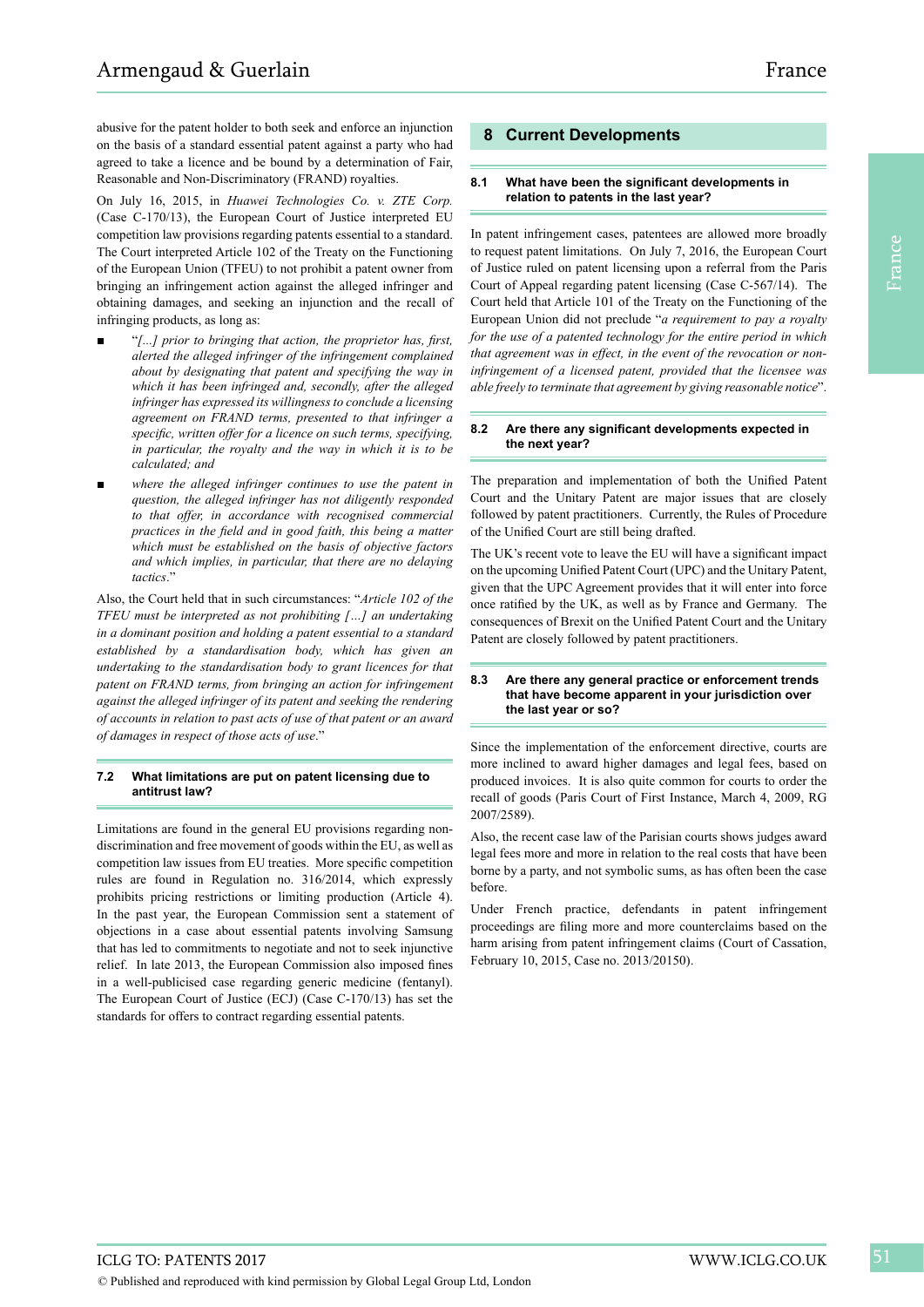abusive for the patent holder to both seek and enforce an injunction on the basis of a standard essential patent against a party who had agreed to take a licence and be bound by a determination of Fair, Reasonable and Non-Discriminatory (FRAND) royalties.

On July 16, 2015, in *Huawei Technologies Co. v. ZTE Corp.* (Case C-170/13), the European Court of Justice interpreted EU competition law provisions regarding patents essential to a standard. The Court interpreted Article 102 of the Treaty on the Functioning of the European Union (TFEU) to not prohibit a patent owner from bringing an infringement action against the alleged infringer and obtaining damages, and seeking an injunction and the recall of infringing products, as long as:

- "*[...] prior to bringing that action, the proprietor has, first, alerted the alleged infringer of the infringement complained about by designating that patent and specifying the way in which it has been infringed and, secondly, after the alleged infringer has expressed its willingness to conclude a licensing agreement on FRAND terms, presented to that infringer a specific, written offer for a licence on such terms, specifying, in particular, the royalty and the way in which it is to be calculated; and*
- where the alleged infringer continues to use the patent in *question, the alleged infringer has not diligently responded to that offer, in accordance with recognised commercial practices in the field and in good faith, this being a matter which must be established on the basis of objective factors and which implies, in particular, that there are no delaying tactics*."

Also, the Court held that in such circumstances: "*Article 102 of the TFEU must be interpreted as not prohibiting […] an undertaking in a dominant position and holding a patent essential to a standard established by a standardisation body, which has given an undertaking to the standardisation body to grant licences for that patent on FRAND terms, from bringing an action for infringement against the alleged infringer of its patent and seeking the rendering of accounts in relation to past acts of use of that patent or an award of damages in respect of those acts of use*."

# **7.2 What limitations are put on patent licensing due to antitrust law?**

Limitations are found in the general EU provisions regarding nondiscrimination and free movement of goods within the EU, as well as competition law issues from EU treaties. More specific competition rules are found in Regulation no. 316/2014, which expressly prohibits pricing restrictions or limiting production (Article 4). In the past year, the European Commission sent a statement of objections in a case about essential patents involving Samsung that has led to commitments to negotiate and not to seek injunctive relief. In late 2013, the European Commission also imposed fines in a well-publicised case regarding generic medicine (fentanyl). The European Court of Justice (ECJ) (Case C-170/13) has set the standards for offers to contract regarding essential patents.

# **8 Current Developments**

#### **8.1 What have been the significant developments in relation to patents in the last year?**

In patent infringement cases, patentees are allowed more broadly to request patent limitations. On July 7, 2016, the European Court of Justice ruled on patent licensing upon a referral from the Paris Court of Appeal regarding patent licensing (Case C-567/14). The Court held that Article 101 of the Treaty on the Functioning of the European Union did not preclude "*a requirement to pay a royalty for the use of a patented technology for the entire period in which that agreement was in effect, in the event of the revocation or noninfringement of a licensed patent, provided that the licensee was able freely to terminate that agreement by giving reasonable notice*".

# **8.2 Are there any significant developments expected in the next year?**

The preparation and implementation of both the Unified Patent Court and the Unitary Patent are major issues that are closely followed by patent practitioners. Currently, the Rules of Procedure of the Unified Court are still being drafted.

The UK's recent vote to leave the EU will have a significant impact on the upcoming Unified Patent Court (UPC) and the Unitary Patent, given that the UPC Agreement provides that it will enter into force once ratified by the UK, as well as by France and Germany. The consequences of Brexit on the Unified Patent Court and the Unitary Patent are closely followed by patent practitioners.

# **8.3 Are there any general practice or enforcement trends that have become apparent in your jurisdiction over the last year or so?**

Since the implementation of the enforcement directive, courts are more inclined to award higher damages and legal fees, based on produced invoices. It is also quite common for courts to order the recall of goods (Paris Court of First Instance, March 4, 2009, RG 2007/2589).

Also, the recent case law of the Parisian courts shows judges award legal fees more and more in relation to the real costs that have been borne by a party, and not symbolic sums, as has often been the case before.

Under French practice, defendants in patent infringement proceedings are filing more and more counterclaims based on the harm arising from patent infringement claims (Court of Cassation, February 10, 2015, Case no. 2013/20150).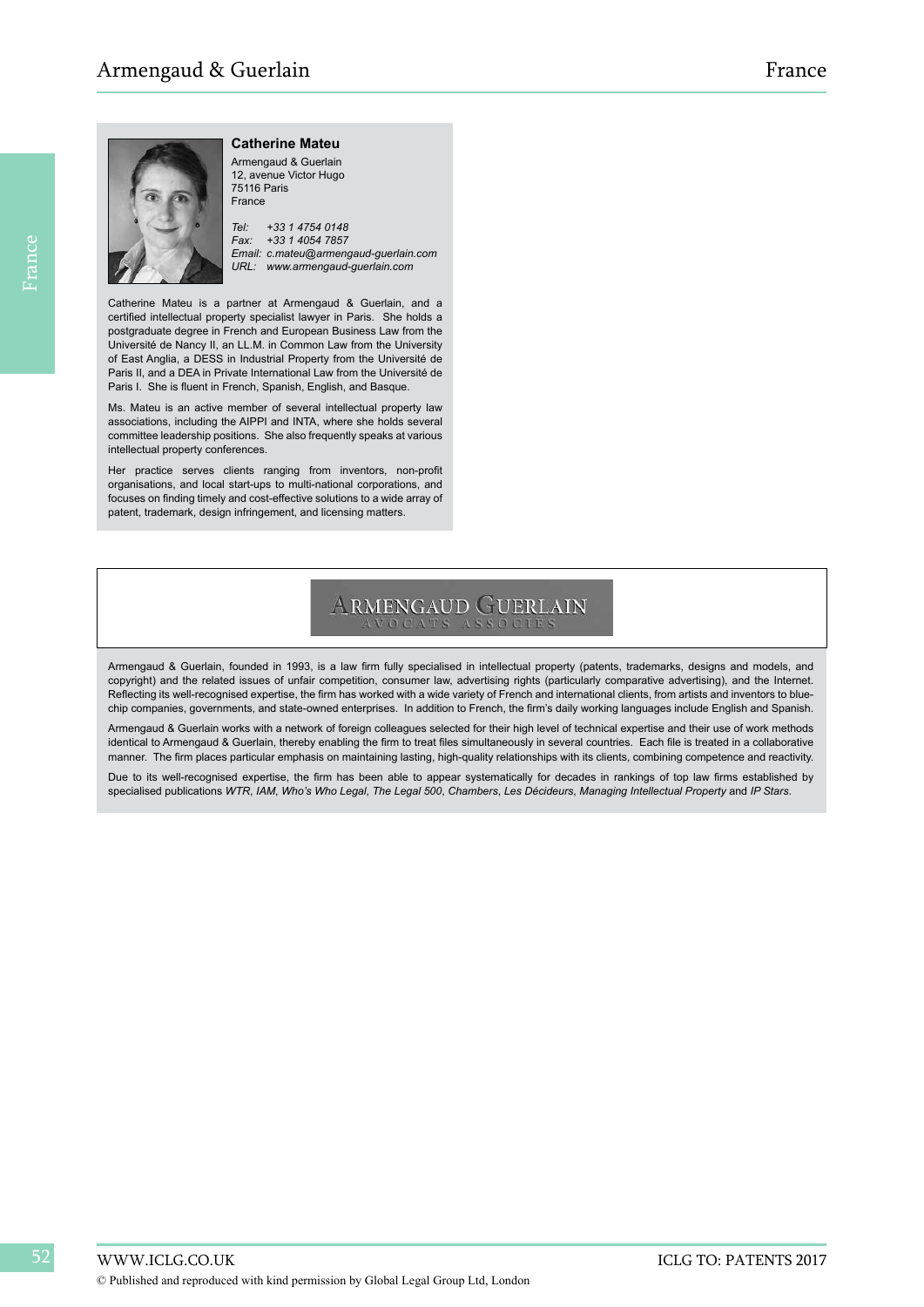

# **Catherine Mateu**

Armengaud & Guerlain 12, avenue Victor Hugo 75116 Paris France

*Tel: +33 1 4754 0148 Fax: +33 1 4054 7857 Email: c.mateu@armengaud-guerlain.com URL: www.armengaud-guerlain.com*

Catherine Mateu is a partner at Armengaud & Guerlain, and a certified intellectual property specialist lawyer in Paris. She holds a postgraduate degree in French and European Business Law from the Université de Nancy II, an LL.M. in Common Law from the University of East Anglia, a DESS in Industrial Property from the Université de Paris II, and a DEA in Private International Law from the Université de Paris I. She is fluent in French, Spanish, English, and Basque.

Ms. Mateu is an active member of several intellectual property law associations, including the AIPPI and INTA, where she holds several committee leadership positions. She also frequently speaks at various intellectual property conferences.

Her practice serves clients ranging from inventors, non-profit organisations, and local start-ups to multi-national corporations, and focuses on finding timely and cost-effective solutions to a wide array of patent, trademark, design infringement, and licensing matters.

# **ARMENGAUD GUERLAIN**

Armengaud & Guerlain, founded in 1993, is a law firm fully specialised in intellectual property (patents, trademarks, designs and models, and copyright) and the related issues of unfair competition, consumer law, advertising rights (particularly comparative advertising), and the Internet. Reflecting its well-recognised expertise, the firm has worked with a wide variety of French and international clients, from artists and inventors to bluechip companies, governments, and state-owned enterprises. In addition to French, the firm's daily working languages include English and Spanish.

Armengaud & Guerlain works with a network of foreign colleagues selected for their high level of technical expertise and their use of work methods identical to Armengaud & Guerlain, thereby enabling the firm to treat files simultaneously in several countries. Each file is treated in a collaborative manner. The firm places particular emphasis on maintaining lasting, high-quality relationships with its clients, combining competence and reactivity.

Due to its well-recognised expertise, the firm has been able to appear systematically for decades in rankings of top law firms established by specialised publications *WTR*, *IAM*, *Who's Who Legal*, *The Legal 500*, *Chambers*, *Les Décideurs*, *Managing Intellectual Property* and *IP Stars*.